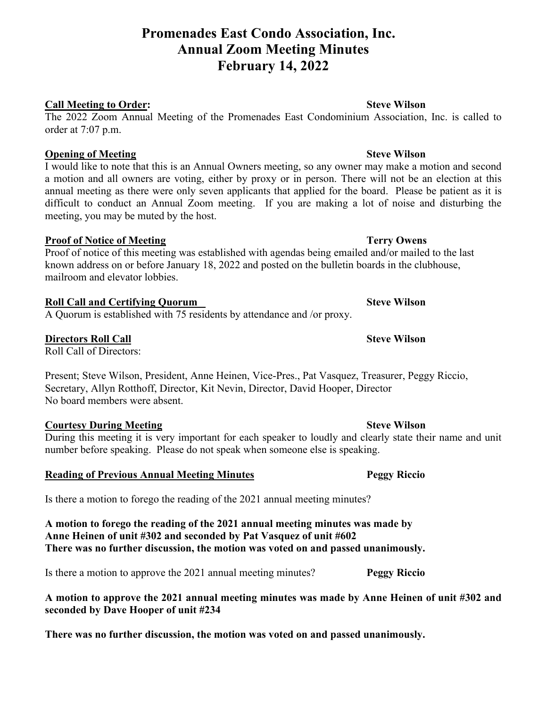# **Promenades East Condo Association, Inc. Annual Zoom Meeting Minutes February 14, 2022**

### **Call Meeting to Order: Steve Wilson**

The 2022 Zoom Annual Meeting of the Promenades East Condominium Association, Inc. is called to order at 7:07 p.m.

### **Opening of Meeting Steve Wilson**

I would like to note that this is an Annual Owners meeting, so any owner may make a motion and second a motion and all owners are voting, either by proxy or in person. There will not be an election at this annual meeting as there were only seven applicants that applied for the board. Please be patient as it is difficult to conduct an Annual Zoom meeting. If you are making a lot of noise and disturbing the meeting, you may be muted by the host.

## **Proof of Notice of Meeting**  Terry Owens

Proof of notice of this meeting was established with agendas being emailed and/or mailed to the last known address on or before January 18, 2022 and posted on the bulletin boards in the clubhouse, mailroom and elevator lobbies.

## **Roll Call and Certifying Quorum Steve Wilson**

A Quorum is established with 75 residents by attendance and /or proxy.

## **Directors Roll Call Steve Wilson**

Roll Call of Directors:

Present; Steve Wilson, President, Anne Heinen, Vice-Pres., Pat Vasquez, Treasurer, Peggy Riccio, Secretary, Allyn Rotthoff, Director, Kit Nevin, Director, David Hooper, Director No board members were absent.

## **Courtesy During Meeting Steve Wilson**

During this meeting it is very important for each speaker to loudly and clearly state their name and unit number before speaking. Please do not speak when someone else is speaking.

## **Reading of Previous Annual Meeting Minutes Peggy Riccio**

Is there a motion to forego the reading of the 2021 annual meeting minutes?

**A motion to forego the reading of the 2021 annual meeting minutes was made by Anne Heinen of unit #302 and seconded by Pat Vasquez of unit #602 There was no further discussion, the motion was voted on and passed unanimously.**

Is there a motion to approve the 2021 annual meeting minutes? **Peggy Riccio**

**A motion to approve the 2021 annual meeting minutes was made by Anne Heinen of unit #302 and seconded by Dave Hooper of unit #234**

**There was no further discussion, the motion was voted on and passed unanimously.**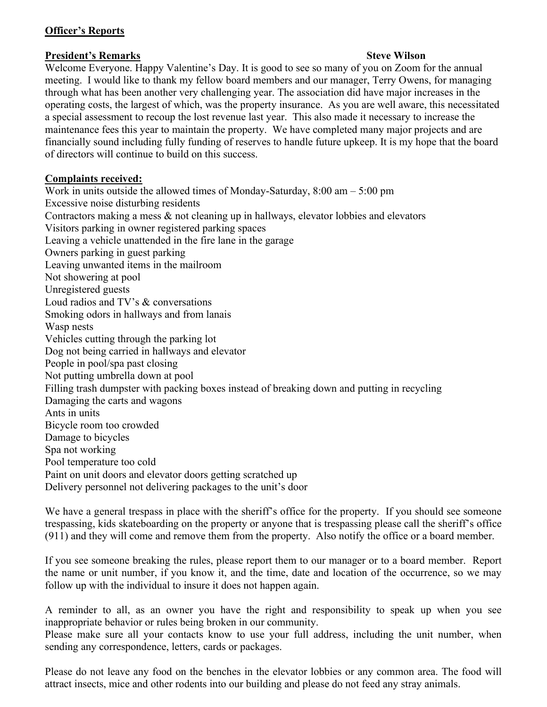## **Officer's Reports**

## **President's Remarks Steve Wilson**

Welcome Everyone. Happy Valentine's Day. It is good to see so many of you on Zoom for the annual meeting. I would like to thank my fellow board members and our manager, Terry Owens, for managing through what has been another very challenging year. The association did have major increases in the operating costs, the largest of which, was the property insurance. As you are well aware, this necessitated a special assessment to recoup the lost revenue last year. This also made it necessary to increase the maintenance fees this year to maintain the property. We have completed many major projects and are financially sound including fully funding of reserves to handle future upkeep. It is my hope that the board of directors will continue to build on this success.

## **Complaints received:**

Work in units outside the allowed times of Monday-Saturday, 8:00 am – 5:00 pm Excessive noise disturbing residents Contractors making a mess & not cleaning up in hallways, elevator lobbies and elevators Visitors parking in owner registered parking spaces Leaving a vehicle unattended in the fire lane in the garage Owners parking in guest parking Leaving unwanted items in the mailroom Not showering at pool Unregistered guests Loud radios and TV's & conversations Smoking odors in hallways and from lanais Wasp nests Vehicles cutting through the parking lot Dog not being carried in hallways and elevator People in pool/spa past closing Not putting umbrella down at pool Filling trash dumpster with packing boxes instead of breaking down and putting in recycling Damaging the carts and wagons Ants in units Bicycle room too crowded Damage to bicycles Spa not working Pool temperature too cold Paint on unit doors and elevator doors getting scratched up Delivery personnel not delivering packages to the unit's door

We have a general trespass in place with the sheriff's office for the property. If you should see someone trespassing, kids skateboarding on the property or anyone that is trespassing please call the sheriff's office (911) and they will come and remove them from the property. Also notify the office or a board member.

If you see someone breaking the rules, please report them to our manager or to a board member. Report the name or unit number, if you know it, and the time, date and location of the occurrence, so we may follow up with the individual to insure it does not happen again.

A reminder to all, as an owner you have the right and responsibility to speak up when you see inappropriate behavior or rules being broken in our community.

Please make sure all your contacts know to use your full address, including the unit number, when sending any correspondence, letters, cards or packages.

Please do not leave any food on the benches in the elevator lobbies or any common area. The food will attract insects, mice and other rodents into our building and please do not feed any stray animals.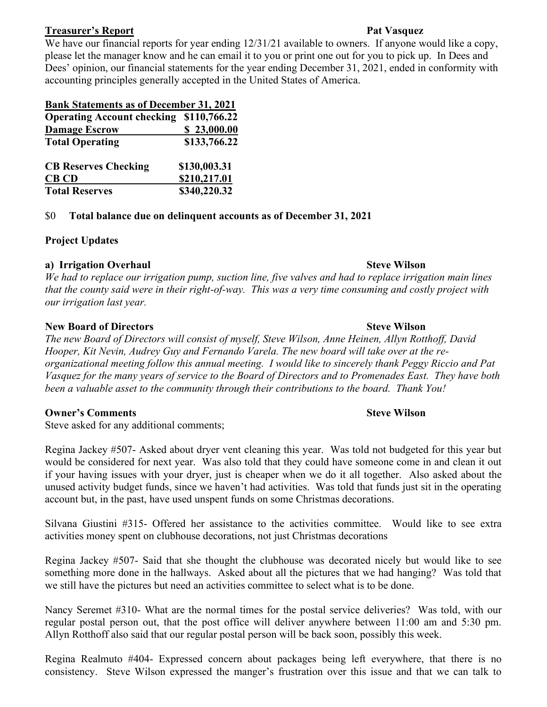### **Treasurer's Report Pat Vasquez**

We have our financial reports for year ending  $12/31/21$  available to owners. If anyone would like a copy, please let the manager know and he can email it to you or print one out for you to pick up. In Dees and Dees' opinion, our financial statements for the year ending December 31, 2021, ended in conformity with accounting principles generally accepted in the United States of America.

| <b>Bank Statements as of December 31, 2021</b> |              |
|------------------------------------------------|--------------|
| <b>Operating Account checking</b>              | \$110,766.22 |
| <b>Damage Escrow</b>                           | \$23,000.00  |
| <b>Total Operating</b>                         | \$133,766.22 |
| <b>CB Reserves Checking</b>                    | \$130,003.31 |
| <b>CB CD</b>                                   | \$210,217.01 |
| <b>Total Reserves</b>                          | \$340,220.32 |

### \$0 **Total balance due on delinquent accounts as of December 31, 2021**

## **Project Updates**

## **a) Irrigation Overhaul Steve Wilson**

*We had to replace our irrigation pump, suction line, five valves and had to replace irrigation main lines that the county said were in their right-of-way. This was a very time consuming and costly project with our irrigation last year.*

### **New Board of Directors Steve Wilson**

*The new Board of Directors will consist of myself, Steve Wilson, Anne Heinen, Allyn Rotthoff, David Hooper, Kit Nevin, Audrey Guy and Fernando Varela. The new board will take over at the reorganizational meeting follow this annual meeting. I would like to sincerely thank Peggy Riccio and Pat Vasquez for the many years of service to the Board of Directors and to Promenades East. They have both been a valuable asset to the community through their contributions to the board. Thank You!*

## **Owner's Comments Steve Wilson**

Steve asked for any additional comments;

Regina Jackey #507- Asked about dryer vent cleaning this year. Was told not budgeted for this year but would be considered for next year. Was also told that they could have someone come in and clean it out if your having issues with your dryer, just is cheaper when we do it all together. Also asked about the unused activity budget funds, since we haven't had activities. Was told that funds just sit in the operating account but, in the past, have used unspent funds on some Christmas decorations.

Silvana Giustini #315- Offered her assistance to the activities committee. Would like to see extra activities money spent on clubhouse decorations, not just Christmas decorations

Regina Jackey #507- Said that she thought the clubhouse was decorated nicely but would like to see something more done in the hallways. Asked about all the pictures that we had hanging? Was told that we still have the pictures but need an activities committee to select what is to be done.

Nancy Seremet #310- What are the normal times for the postal service deliveries? Was told, with our regular postal person out, that the post office will deliver anywhere between 11:00 am and 5:30 pm. Allyn Rotthoff also said that our regular postal person will be back soon, possibly this week.

Regina Realmuto #404- Expressed concern about packages being left everywhere, that there is no consistency. Steve Wilson expressed the manger's frustration over this issue and that we can talk to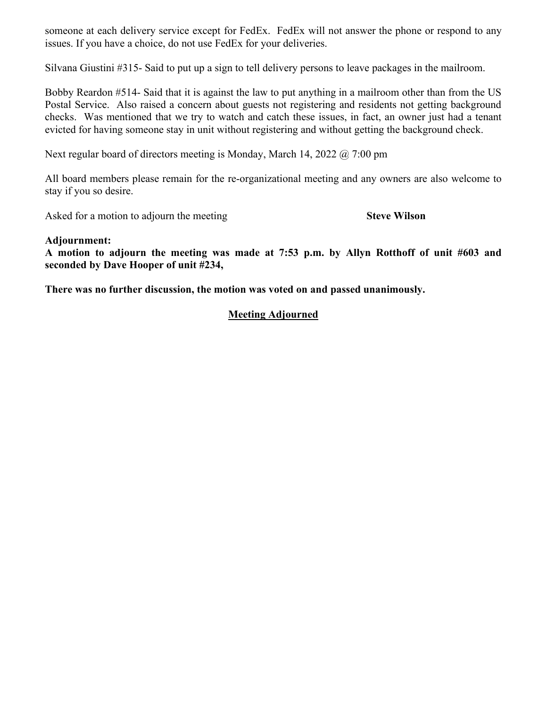someone at each delivery service except for FedEx. FedEx will not answer the phone or respond to any issues. If you have a choice, do not use FedEx for your deliveries.

Silvana Giustini #315- Said to put up a sign to tell delivery persons to leave packages in the mailroom.

Bobby Reardon #514- Said that it is against the law to put anything in a mailroom other than from the US Postal Service. Also raised a concern about guests not registering and residents not getting background checks. Was mentioned that we try to watch and catch these issues, in fact, an owner just had a tenant evicted for having someone stay in unit without registering and without getting the background check.

Next regular board of directors meeting is Monday, March 14, 2022 @ 7:00 pm

All board members please remain for the re-organizational meeting and any owners are also welcome to stay if you so desire.

Asked for a motion to adjourn the meeting **Steve Wilson** 

### **Adjournment:**

**A motion to adjourn the meeting was made at 7:53 p.m. by Allyn Rotthoff of unit #603 and seconded by Dave Hooper of unit #234,** 

**There was no further discussion, the motion was voted on and passed unanimously.**

## **Meeting Adjourned**